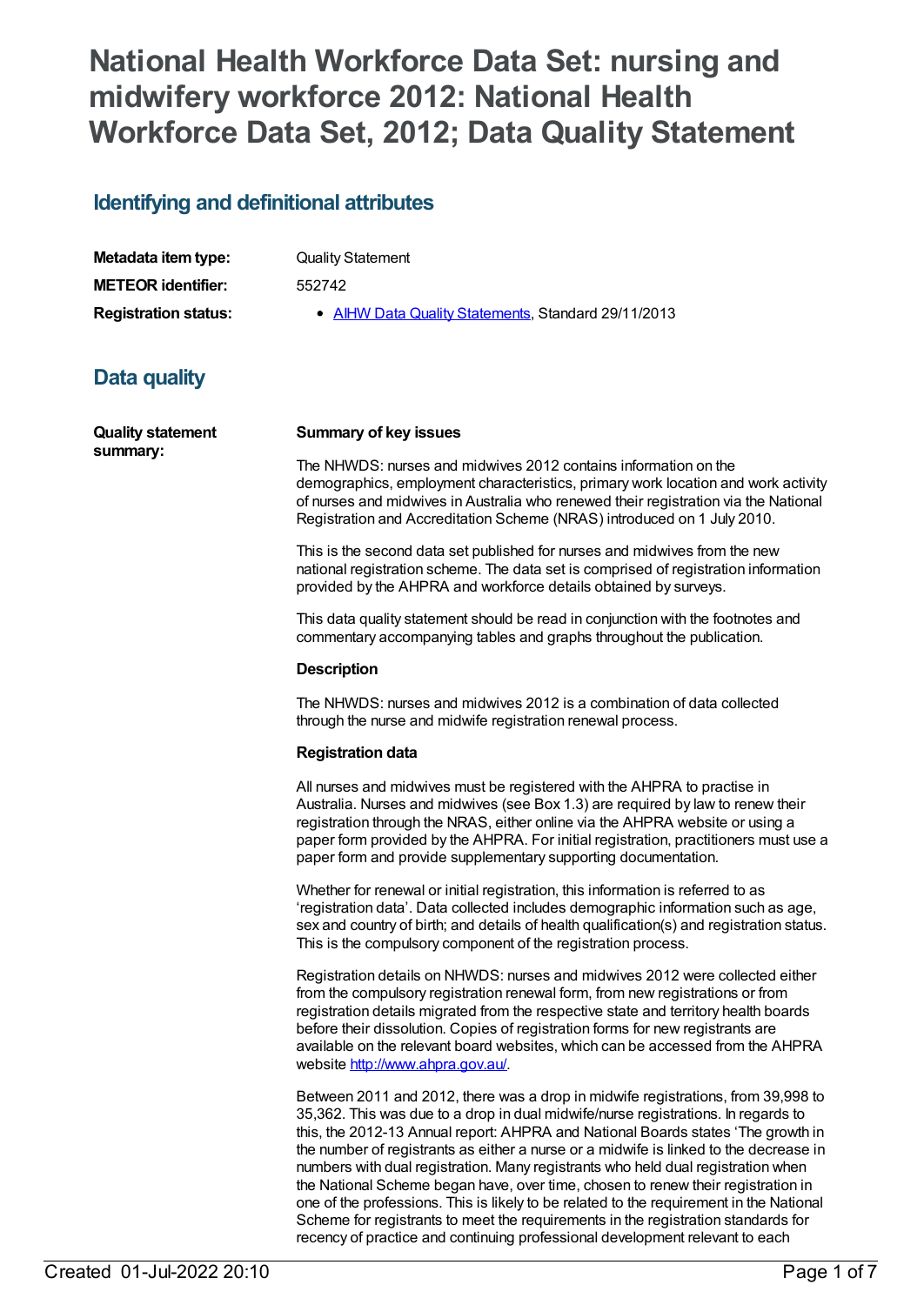# **National Health Workforce Data Set: nursing and midwifery workforce 2012: National Health Workforce Data Set, 2012; Data Quality Statement**

## **Identifying and definitional attributes**

| Metadata item type:         | <b>Quality Statement</b>                            |
|-----------------------------|-----------------------------------------------------|
| <b>METEOR identifier:</b>   | 552742                                              |
| <b>Registration status:</b> | • AIHW Data Quality Statements, Standard 29/11/2013 |

## **Data quality**

| <b>Quality statement</b><br>summary: | <b>Summary of key issues</b>                                                                                                                                                                                                                                                                                                                                                                                                                                                                                                                                                                                                                                                                               |  |  |  |  |  |
|--------------------------------------|------------------------------------------------------------------------------------------------------------------------------------------------------------------------------------------------------------------------------------------------------------------------------------------------------------------------------------------------------------------------------------------------------------------------------------------------------------------------------------------------------------------------------------------------------------------------------------------------------------------------------------------------------------------------------------------------------------|--|--|--|--|--|
|                                      | The NHWDS: nurses and midwives 2012 contains information on the<br>demographics, employment characteristics, primary work location and work activity<br>of nurses and midwives in Australia who renewed their registration via the National<br>Registration and Accreditation Scheme (NRAS) introduced on 1 July 2010.                                                                                                                                                                                                                                                                                                                                                                                     |  |  |  |  |  |
|                                      | This is the second data set published for nurses and midwives from the new<br>national registration scheme. The data set is comprised of registration information<br>provided by the AHPRA and workforce details obtained by surveys.                                                                                                                                                                                                                                                                                                                                                                                                                                                                      |  |  |  |  |  |
|                                      | This data quality statement should be read in conjunction with the footnotes and<br>commentary accompanying tables and graphs throughout the publication.                                                                                                                                                                                                                                                                                                                                                                                                                                                                                                                                                  |  |  |  |  |  |
|                                      | <b>Description</b>                                                                                                                                                                                                                                                                                                                                                                                                                                                                                                                                                                                                                                                                                         |  |  |  |  |  |
|                                      | The NHWDS: nurses and midwives 2012 is a combination of data collected<br>through the nurse and midwife registration renewal process.                                                                                                                                                                                                                                                                                                                                                                                                                                                                                                                                                                      |  |  |  |  |  |
|                                      | <b>Registration data</b>                                                                                                                                                                                                                                                                                                                                                                                                                                                                                                                                                                                                                                                                                   |  |  |  |  |  |
|                                      | All nurses and midwives must be registered with the AHPRA to practise in<br>Australia. Nurses and midwives (see Box 1.3) are required by law to renew their<br>registration through the NRAS, either online via the AHPRA website or using a<br>paper form provided by the AHPRA. For initial registration, practitioners must use a<br>paper form and provide supplementary supporting documentation.                                                                                                                                                                                                                                                                                                     |  |  |  |  |  |
|                                      | Whether for renewal or initial registration, this information is referred to as<br>'registration data'. Data collected includes demographic information such as age,<br>sex and country of birth; and details of health qualification(s) and registration status.<br>This is the compulsory component of the registration process.                                                                                                                                                                                                                                                                                                                                                                         |  |  |  |  |  |
|                                      | Registration details on NHWDS: nurses and midwives 2012 were collected either<br>from the compulsory registration renewal form, from new registrations or from<br>registration details migrated from the respective state and territory health boards<br>before their dissolution. Copies of registration forms for new registrants are<br>available on the relevant board websites, which can be accessed from the AHPRA<br>website http://www.ahpra.gov.au/.                                                                                                                                                                                                                                             |  |  |  |  |  |
|                                      | Between 2011 and 2012, there was a drop in midwife registrations, from 39,998 to<br>35,362. This was due to a drop in dual midwife/nurse registrations. In regards to<br>this, the 2012-13 Annual report: AHPRA and National Boards states 'The growth in<br>the number of registrants as either a nurse or a midwife is linked to the decrease in<br>numbers with dual registration. Many registrants who held dual registration when<br>the National Scheme began have, over time, chosen to renew their registration in<br>one of the professions. This is likely to be related to the requirement in the National<br>Scheme for registrants to meet the requirements in the registration standards for |  |  |  |  |  |

recency of practice and continuing professional development relevant to each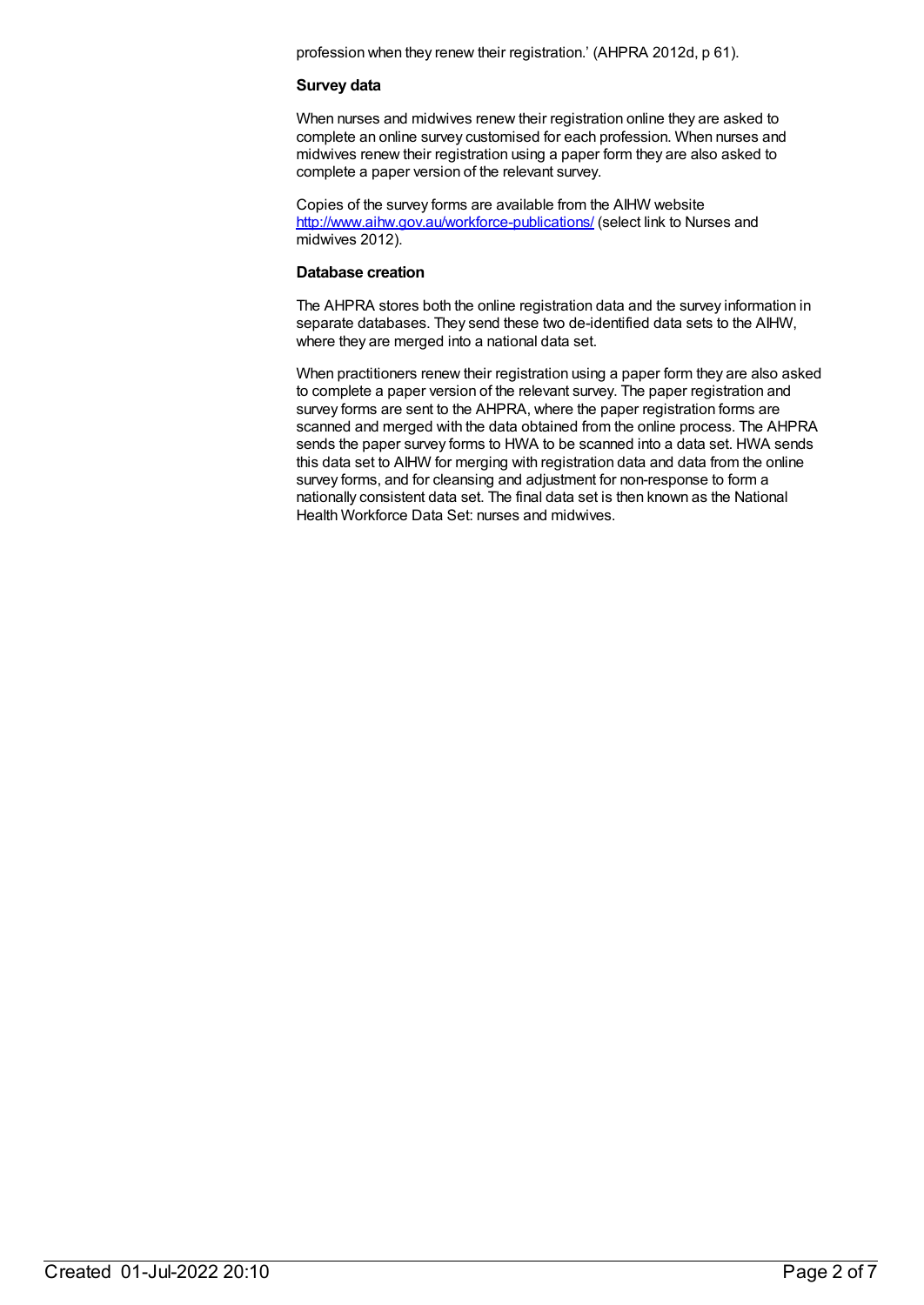profession when they renew their registration.' (AHPRA 2012d, p 61).

## **Survey data**

When nurses and midwives renew their registration online they are asked to complete an online survey customised for each profession. When nurses and midwives renew their registration using a paper form they are also asked to complete a paper version of the relevant survey.

Copies of the survey forms are available from the AIHW website <http://www.aihw.gov.au/workforce-publications/> (select link to Nurses and midwives 2012).

## **Database creation**

The AHPRA stores both the online registration data and the survey information in separate databases. They send these two de-identified data sets to the AIHW, where they are merged into a national data set.

When practitioners renew their registration using a paper form they are also asked to complete a paper version of the relevant survey. The paper registration and survey forms are sent to the AHPRA, where the paper registration forms are scanned and merged with the data obtained from the online process. The AHPRA sends the paper survey forms to HWA to be scanned into a data set. HWA sends this data set to AIHW for merging with registration data and data from the online survey forms, and for cleansing and adjustment for non-response to form a nationally consistent data set. The final data set is then known as the National Health Workforce Data Set: nurses and midwives.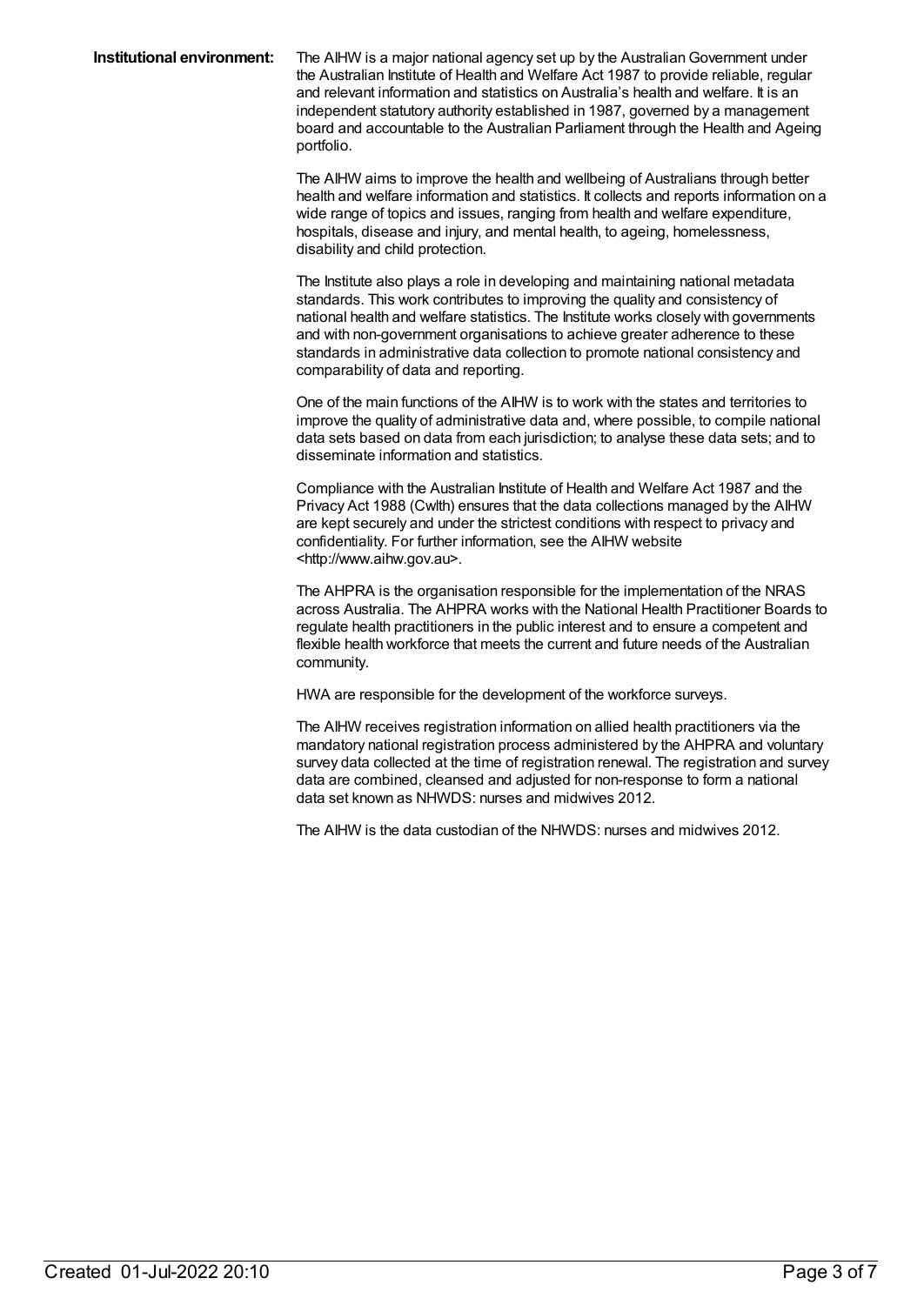**Institutional environment:** The AIHW is a major national agency set up by the Australian Government under the Australian Institute of Health and Welfare Act 1987 to provide reliable, regular and relevant information and statistics on Australia's health and welfare. It is an independent statutory authority established in 1987, governed by a management board and accountable to the Australian Parliament through the Health and Ageing portfolio.

> The AIHW aims to improve the health and wellbeing of Australians through better health and welfare information and statistics. It collects and reports information on a wide range of topics and issues, ranging from health and welfare expenditure, hospitals, disease and injury, and mental health, to ageing, homelessness, disability and child protection.

The Institute also plays a role in developing and maintaining national metadata standards. This work contributes to improving the quality and consistency of national health and welfare statistics. The Institute works closely with governments and with non-government organisations to achieve greater adherence to these standards in administrative data collection to promote national consistency and comparability of data and reporting.

One of the main functions of the AIHW is to work with the states and territories to improve the quality of administrative data and, where possible, to compile national data sets based on data from each jurisdiction; to analyse these data sets; and to disseminate information and statistics.

Compliance with the Australian Institute of Health and Welfare Act 1987 and the Privacy Act 1988 (Cwlth) ensures that the data collections managed by the AIHW are kept securely and under the strictest conditions with respect to privacy and confidentiality. For further information, see the AIHW website <http://www.aihw.gov.au>.

The AHPRA is the organisation responsible for the implementation of the NRAS across Australia. The AHPRA works with the National Health Practitioner Boards to regulate health practitioners in the public interest and to ensure a competent and flexible health workforce that meets the current and future needs of the Australian community.

HWA are responsible for the development of the workforce surveys.

The AIHW receives registration information on allied health practitioners via the mandatory national registration process administered by the AHPRA and voluntary survey data collected at the time of registration renewal. The registration and survey data are combined, cleansed and adjusted for non-response to form a national data set known as NHWDS: nurses and midwives 2012.

The AIHW is the data custodian of the NHWDS: nurses and midwives 2012.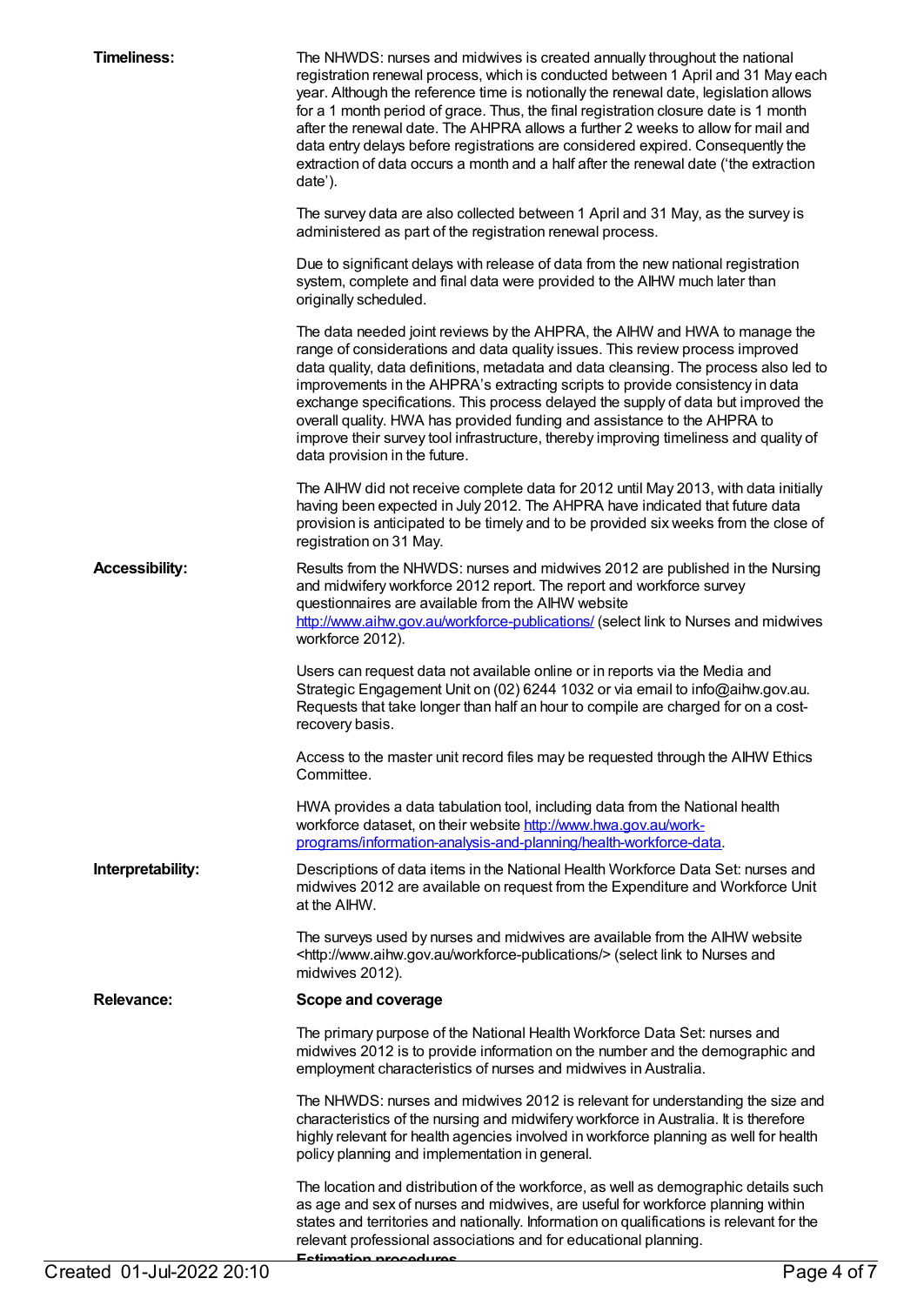| <b>Timeliness:</b>    | The NHWDS: nurses and midwives is created annually throughout the national<br>registration renewal process, which is conducted between 1 April and 31 May each<br>year. Although the reference time is notionally the renewal date, legislation allows<br>for a 1 month period of grace. Thus, the final registration closure date is 1 month<br>after the renewal date. The AHPRA allows a further 2 weeks to allow for mail and<br>data entry delays before registrations are considered expired. Consequently the<br>extraction of data occurs a month and a half after the renewal date ('the extraction<br>date').         |  |  |  |  |  |
|-----------------------|---------------------------------------------------------------------------------------------------------------------------------------------------------------------------------------------------------------------------------------------------------------------------------------------------------------------------------------------------------------------------------------------------------------------------------------------------------------------------------------------------------------------------------------------------------------------------------------------------------------------------------|--|--|--|--|--|
|                       | The survey data are also collected between 1 April and 31 May, as the survey is<br>administered as part of the registration renewal process.                                                                                                                                                                                                                                                                                                                                                                                                                                                                                    |  |  |  |  |  |
|                       | Due to significant delays with release of data from the new national registration<br>system, complete and final data were provided to the AIHW much later than<br>originally scheduled.                                                                                                                                                                                                                                                                                                                                                                                                                                         |  |  |  |  |  |
|                       | The data needed joint reviews by the AHPRA, the AIHW and HWA to manage the<br>range of considerations and data quality issues. This review process improved<br>data quality, data definitions, metadata and data cleansing. The process also led to<br>improvements in the AHPRA's extracting scripts to provide consistency in data<br>exchange specifications. This process delayed the supply of data but improved the<br>overall quality. HWA has provided funding and assistance to the AHPRA to<br>improve their survey tool infrastructure, thereby improving timeliness and quality of<br>data provision in the future. |  |  |  |  |  |
|                       | The AIHW did not receive complete data for 2012 until May 2013, with data initially<br>having been expected in July 2012. The AHPRA have indicated that future data<br>provision is anticipated to be timely and to be provided six weeks from the close of<br>registration on 31 May.                                                                                                                                                                                                                                                                                                                                          |  |  |  |  |  |
| <b>Accessibility:</b> | Results from the NHWDS: nurses and midwives 2012 are published in the Nursing<br>and midwifery workforce 2012 report. The report and workforce survey<br>questionnaires are available from the AIHW website<br>http://www.aihw.gov.au/workforce-publications/ (select link to Nurses and midwives<br>workforce 2012).                                                                                                                                                                                                                                                                                                           |  |  |  |  |  |
|                       | Users can request data not available online or in reports via the Media and<br>Strategic Engagement Unit on (02) 6244 1032 or via email to info@aihw.gov.au.<br>Requests that take longer than half an hour to compile are charged for on a cost-<br>recovery basis.                                                                                                                                                                                                                                                                                                                                                            |  |  |  |  |  |
|                       | Access to the master unit record files may be requested through the AIHW Ethics<br>Committee.                                                                                                                                                                                                                                                                                                                                                                                                                                                                                                                                   |  |  |  |  |  |
|                       | HWA provides a data tabulation tool, including data from the National health<br>workforce dataset, on their website http://www.hwa.gov.au/work-<br>programs/information-analysis-and-planning/health-workforce-data.                                                                                                                                                                                                                                                                                                                                                                                                            |  |  |  |  |  |
| Interpretability:     | Descriptions of data items in the National Health Workforce Data Set: nurses and<br>midwives 2012 are available on request from the Expenditure and Workforce Unit<br>at the AIHW.                                                                                                                                                                                                                                                                                                                                                                                                                                              |  |  |  |  |  |
|                       | The surveys used by nurses and midwives are available from the AIHW website<br><http: workforce-publications="" www.aihw.gov.au=""></http:> (select link to Nurses and<br>midwives 2012).                                                                                                                                                                                                                                                                                                                                                                                                                                       |  |  |  |  |  |
| <b>Relevance:</b>     | Scope and coverage                                                                                                                                                                                                                                                                                                                                                                                                                                                                                                                                                                                                              |  |  |  |  |  |
|                       | The primary purpose of the National Health Workforce Data Set: nurses and<br>midwives 2012 is to provide information on the number and the demographic and<br>employment characteristics of nurses and midwives in Australia.                                                                                                                                                                                                                                                                                                                                                                                                   |  |  |  |  |  |
|                       | The NHWDS: nurses and midwives 2012 is relevant for understanding the size and<br>characteristics of the nursing and midwifery workforce in Australia. It is therefore<br>highly relevant for health agencies involved in workforce planning as well for health<br>policy planning and implementation in general.                                                                                                                                                                                                                                                                                                               |  |  |  |  |  |
|                       | The location and distribution of the workforce, as well as demographic details such<br>as age and sex of nurses and midwives, are useful for workforce planning within<br>states and territories and nationally. Information on qualifications is relevant for the<br>relevant professional associations and for educational planning.                                                                                                                                                                                                                                                                                          |  |  |  |  |  |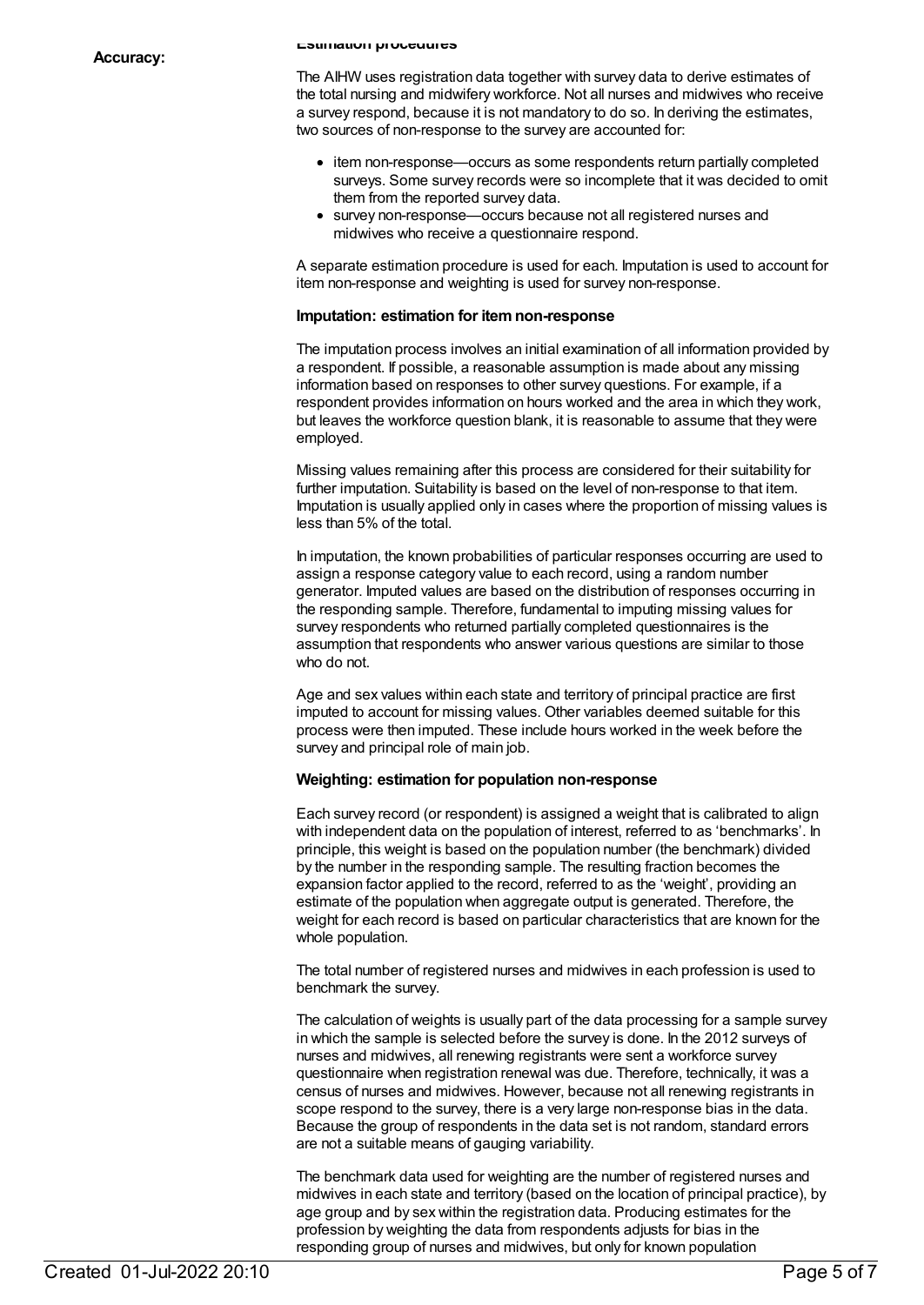#### **Estimation procedures**

The AIHW uses registration data together with survey data to derive estimates of the total nursing and midwifery workforce. Not all nurses and midwives who receive a survey respond, because it is not mandatory to do so. In deriving the estimates, two sources of non-response to the survey are accounted for:

- item non-response—occurs as some respondents return partially completed surveys. Some survey records were so incomplete that it was decided to omit them from the reported survey data.
- survey non-response—occurs because not all registered nurses and midwives who receive a questionnaire respond.

A separate estimation procedure is used for each. Imputation is used to account for item non-response and weighting is used for survey non-response.

### **Imputation: estimation for itemnon-response**

The imputation process involves an initial examination of all information provided by a respondent. If possible, a reasonable assumption is made about any missing information based on responses to other survey questions. For example, if a respondent provides information on hours worked and the area in which they work, but leaves the workforce question blank, it is reasonable to assume that they were employed.

Missing values remaining after this process are considered for their suitability for further imputation. Suitability is based on the level of non-response to that item. Imputation is usually applied only in cases where the proportion of missing values is less than 5% of the total.

In imputation, the known probabilities of particular responses occurring are used to assign a response category value to each record, using a random number generator. Imputed values are based on the distribution of responses occurring in the responding sample. Therefore, fundamental to imputing missing values for survey respondents who returned partially completed questionnaires is the assumption that respondents who answer various questions are similar to those who do not.

Age and sex values within each state and territory of principal practice are first imputed to account for missing values. Other variables deemed suitable for this process were then imputed. These include hours worked in the week before the survey and principal role of main job.

## **Weighting: estimation for population non-response**

Each survey record (or respondent) is assigned a weight that is calibrated to align with independent data on the population of interest, referred to as 'benchmarks'. In principle, this weight is based on the population number (the benchmark) divided by the number in the responding sample. The resulting fraction becomes the expansion factor applied to the record, referred to as the 'weight', providing an estimate of the population when aggregate output is generated. Therefore, the weight for each record is based on particular characteristics that are known for the whole population.

The total number of registered nurses and midwives in each profession is used to benchmark the survey.

The calculation of weights is usually part of the data processing for a sample survey in which the sample is selected before the survey is done. In the 2012 surveys of nurses and midwives, all renewing registrants were sent a workforce survey questionnaire when registration renewal was due. Therefore, technically, it was a census of nurses and midwives. However, because not all renewing registrants in scope respond to the survey, there is a very large non-response bias in the data. Because the group of respondents in the data set is not random, standard errors are not a suitable means of gauging variability.

The benchmark data used for weighting are the number of registered nurses and midwives in each state and territory (based on the location of principal practice), by age group and by sex within the registration data. Producing estimates for the profession by weighting the data from respondents adjusts for bias in the responding group of nurses and midwives, but only for known population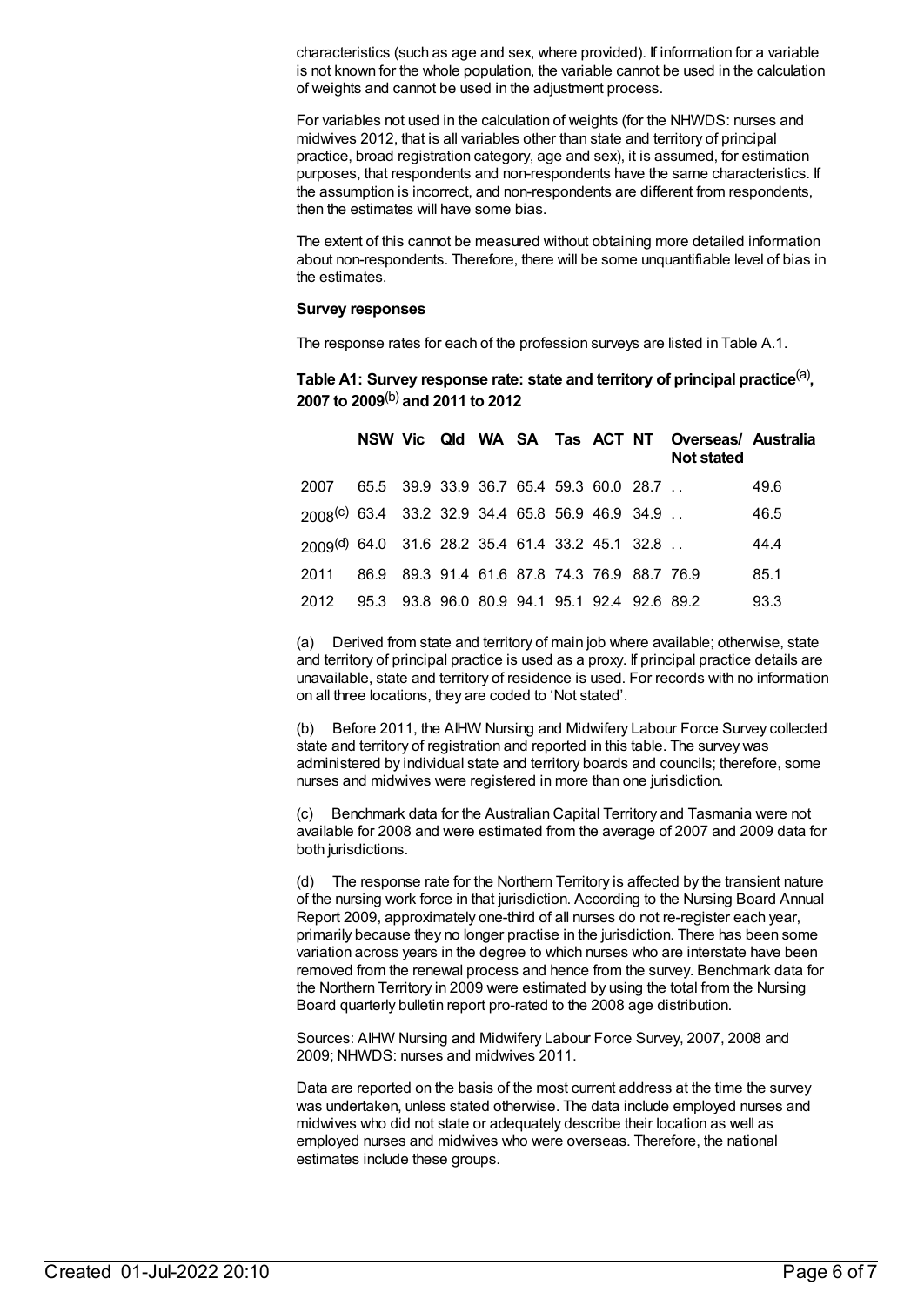characteristics (such as age and sex, where provided). If information for a variable is not known for the whole population, the variable cannot be used in the calculation of weights and cannot be used in the adjustment process.

For variables not used in the calculation of weights (for the NHWDS: nurses and midwives 2012, that is all variables other than state and territory of principal practice, broad registration category, age and sex), it is assumed, for estimation purposes, that respondents and non-respondents have the same characteristics. If the assumption is incorrect, and non-respondents are different from respondents, then the estimates will have some bias.

The extent of this cannot be measured without obtaining more detailed information about non-respondents. Therefore, there will be some unquantifiable level of bias in the estimates.

### **Survey responses**

The response rates for each of the profession surveys are listed in Table A.1.

**Table A1: Survey response rate: state and territory of principal practice** (a) **, 2007 to 2009** (b) **and 2011 to 2012**

|                                                             |  |  |  |  | NSW Vic Qld WA SA Tas ACT NT Overseas/ Australia<br><b>Not stated</b> |      |
|-------------------------------------------------------------|--|--|--|--|-----------------------------------------------------------------------|------|
|                                                             |  |  |  |  |                                                                       | 49.6 |
| 2008 <sup>(c)</sup> 63.4 33.2 32.9 34.4 65.8 56.9 46.9 34.9 |  |  |  |  |                                                                       | 46.5 |
| 2009 <sup>(d)</sup> 64.0 31.6 28.2 35.4 61.4 33.2 45.1 32.8 |  |  |  |  |                                                                       | 44.4 |
| 2011 86.9 89.3 91.4 61.6 87.8 74.3 76.9 88.7 76.9           |  |  |  |  |                                                                       | 85.1 |
| 2012  95.3  93.8  96.0  80.9  94.1  95.1  92.4  92.6  89.2  |  |  |  |  |                                                                       | 93.3 |

(a) Derived from state and territory of main job where available; otherwise, state and territory of principal practice is used as a proxy. If principal practice details are unavailable, state and territory of residence is used. For records with no information on all three locations, they are coded to 'Not stated'.

(b) Before 2011, the AIHW Nursing and Midwifery Labour Force Survey collected state and territory of registration and reported in this table. The survey was administered by individual state and territory boards and councils; therefore, some nurses and midwives were registered in more than one jurisdiction.

(c) Benchmark data for the Australian Capital Territory and Tasmania were not available for 2008 and were estimated from the average of 2007 and 2009 data for both jurisdictions.

(d) The response rate for the Northern Territory is affected by the transient nature of the nursing work force in that jurisdiction. According to the Nursing Board Annual Report 2009, approximately one-third of all nurses do not re-register each year, primarily because they no longer practise in the jurisdiction. There has been some variation across years in the degree to which nurses who are interstate have been removed from the renewal process and hence from the survey. Benchmark data for the Northern Territory in 2009 were estimated by using the total from the Nursing Board quarterly bulletin report pro-rated to the 2008 age distribution.

Sources: AIHW Nursing and Midwifery Labour Force Survey, 2007, 2008 and 2009; NHWDS: nurses and midwives 2011.

Data are reported on the basis of the most current address at the time the survey was undertaken, unless stated otherwise. The data include employed nurses and midwives who did not state or adequately describe their location as well as employed nurses and midwives who were overseas. Therefore, the national estimates include these groups.